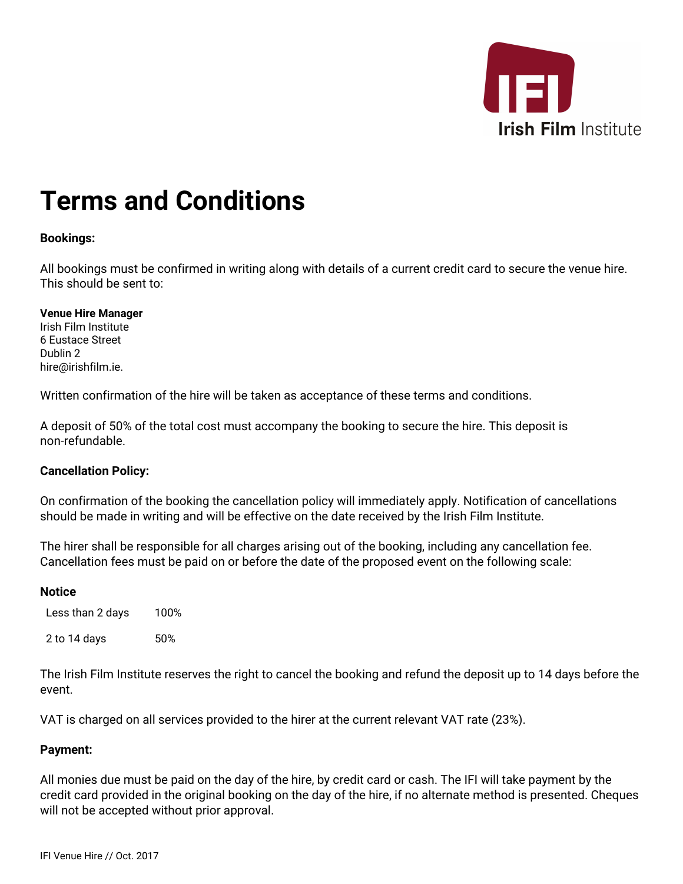

# **Terms and Conditions**

## **Bookings:**

All bookings must be confirmed in writing along with details of a current credit card to secure the venue hire. This should be sent to:

#### **Venue Hire Manager** Irish Film Institute

6 Eustace Street Dublin 2 hire@irishfilm.ie.

Written confirmation of the hire will be taken as acceptance of these terms and conditions.

A deposit of 50% of the total cost must accompany the booking to secure the hire. This deposit is non-refundable.

## **Cancellation Policy:**

On confirmation of the booking the cancellation policy will immediately apply. Notification of cancellations should be made in writing and will be effective on the date received by the Irish Film Institute.

The hirer shall be responsible for all charges arising out of the booking, including any cancellation fee. Cancellation fees must be paid on or before the date of the proposed event on the following scale:

### **Notice**

Less than 2 days 100% 2 to 14 days 50%

The Irish Film Institute reserves the right to cancel the booking and refund the deposit up to 14 days before the event.

VAT is charged on all services provided to the hirer at the current relevant VAT rate (23%).

## **Payment:**

All monies due must be paid on the day of the hire, by credit card or cash. The IFI will take payment by the credit card provided in the original booking on the day of the hire, if no alternate method is presented. Cheques will not be accepted without prior approval.